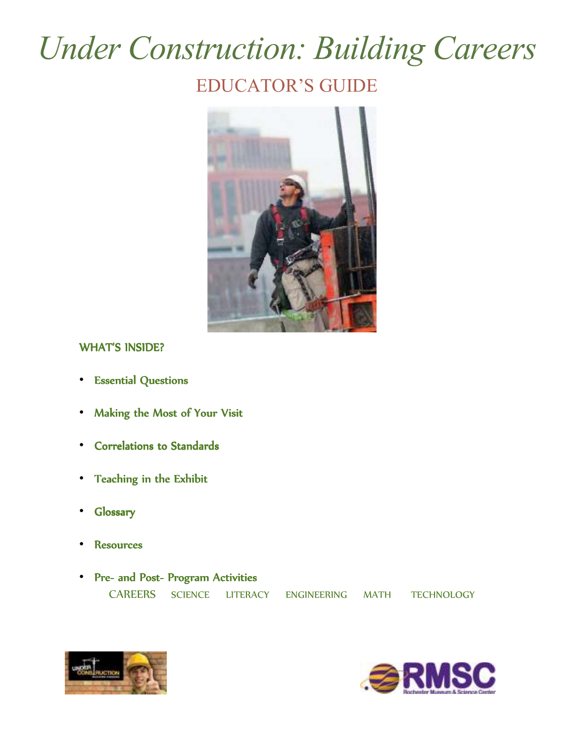# *Under Construction: Building Careers*  EDUCATOR'S GUIDE



## WHAT'S INSIDE?

- Essential Questions
- Making the Most of Your Visit
- Correlations to Standards
- Teaching in the Exhibit
- Glossary Glossary
- **Resources**
- Pre- and Post-Program Activities CAREERS SCIENCE LITERACY ENGINEERING MATH TECHNOLOGY



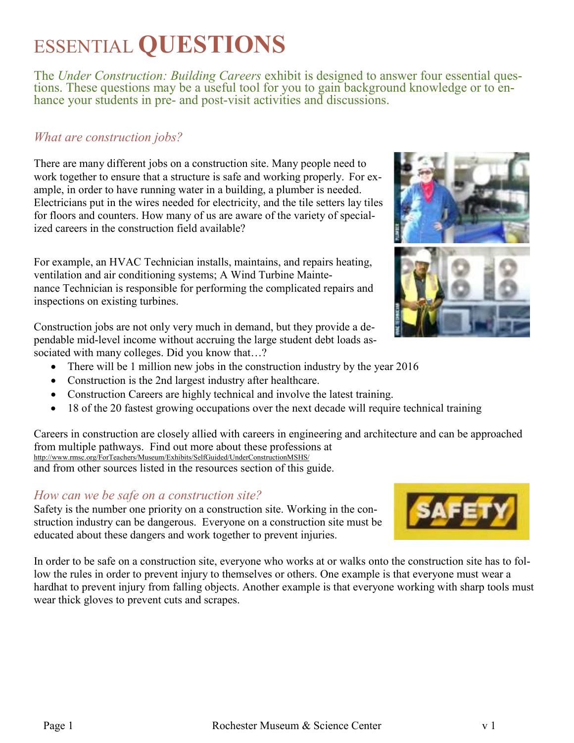# ESSENTIAL **QUESTIONS**

The *Under Construction: Building Careers* exhibit is designed to answer four essential questions. These questions may be a useful tool for you to gain background knowledge or to enhance your students in pre- and post-visit activities and discussions.

## *What are construction jobs?*

There are many different jobs on a construction site. Many people need to work together to ensure that a structure is safe and working properly. For example, in order to have running water in a building, a plumber is needed. Electricians put in the wires needed for electricity, and the tile setters lay tiles for floors and counters. How many of us are aware of the variety of specialized careers in the construction field available?

For example, an HVAC Technician installs, maintains, and repairs heating, ventilation and air conditioning systems; A Wind Turbine Maintenance Technician is responsible for performing the complicated repairs and inspections on existing turbines.

Construction jobs are not only very much in demand, but they provide a dependable mid-level income without accruing the large student debt loads associated with many colleges. Did you know that...?

- There will be 1 million new jobs in the construction industry by the year 2016
- Construction is the 2nd largest industry after healthcare.
- Construction Careers are highly technical and involve the latest training.
- 18 of the 20 fastest growing occupations over the next decade will require technical training

Careers in construction are closely allied with careers in engineering and architecture and can be approached from multiple pathways. Find out more about these professions at http://www.rmsc.org/ForTeachers/Museum/Exhibits/SelfGuided/UnderConstructionMSHS/ and from other sources listed in the resources section of this guide.

## *How can we be safe on a construction site?*

Safety is the number one priority on a construction site. Working in the construction industry can be dangerous. Everyone on a construction site must be educated about these dangers and work together to prevent injuries.

In order to be safe on a construction site, everyone who works at or walks onto the construction site has to follow the rules in order to prevent injury to themselves or others. One example is that everyone must wear a hardhat to prevent injury from falling objects. Another example is that everyone working with sharp tools must wear thick gloves to prevent cuts and scrapes.



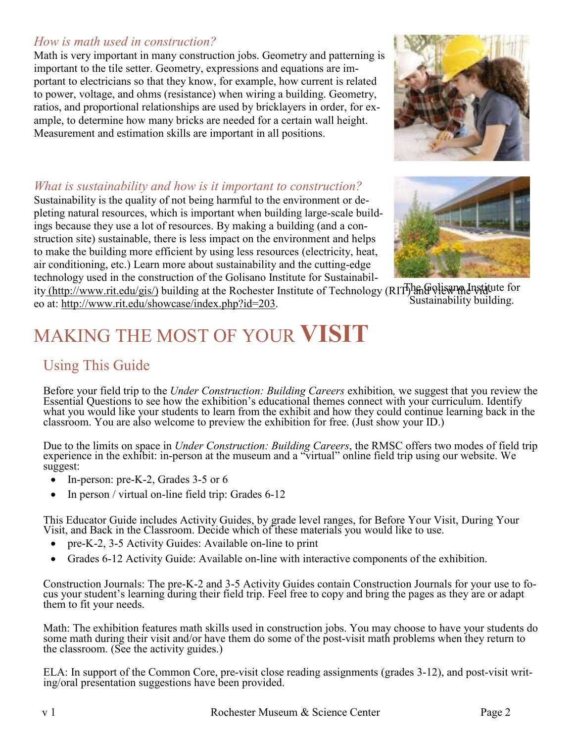## *How is math used in construction?*

Math is very important in many construction jobs. Geometry and patterning is important to the tile setter. Geometry, expressions and equations are important to electricians so that they know, for example, how current is related to power, voltage, and ohms (resistance) when wiring a building. Geometry, ratios, and proportional relationships are used by bricklayers in order, for example, to determine how many bricks are needed for a certain wall height. Measurement and estimation skills are important in all positions.



Sustainability is the quality of not being harmful to the environment or depleting natural resources, which is important when building large-scale buildings because they use a lot of resources. By making a building (and a construction site) sustainable, there is less impact on the environment and helps to make the building more efficient by using less resources (electricity, heat, air conditioning, etc.) Learn more about sustainability and the cutting-edge technology used in the construction of the Golisano Institute for Sustainabil-



ity (http://www.rit.edu/gis/) building at the Rochester Institute of Technology (RIT) and view the lingtitute for Sustainability building. eo at: http://www.rit.edu/showcase/index.php?id=203.

# MAKING THE MOST OF YOUR **VISIT**

## Using This Guide

Before your field trip to the *Under Construction: Building Careers* exhibition*,* we suggest that you review the Essential Questions to see how the exhibition's educational themes connect with your curriculum. Identify what you would like your students to learn from the exhibit and how they could continue learning back in the classroom. You are also welcome to preview the exhibition for free. (Just show your ID.)

Due to the limits on space in *Under Construction: Building Careers*, the RMSC offers two modes of field trip experience in the exhibit: in-person at the museum and a "virtual" online field trip using our website. We suggest:

- In-person: pre-K-2, Grades 3-5 or 6
- In person / virtual on-line field trip: Grades 6-12

This Educator Guide includes Activity Guides, by grade level ranges, for Before Your Visit, During Your Visit, and Back in the Classroom. Decide which of these materials you would like to use.

- pre-K-2, 3-5 Activity Guides: Available on-line to print
- Grades 6-12 Activity Guide: Available on-line with interactive components of the exhibition.

Construction Journals: The pre-K-2 and 3-5 Activity Guides contain Construction Journals for your use to focus your student's learning during their field trip. Feel free to copy and bring the pages as they are or adapt them to fit your needs.

Math: The exhibition features math skills used in construction jobs. You may choose to have your students do some math during their visit and/or have them do some of the post-visit math problems when they return to the classroom. (See the activity guides.)

ELA: In support of the Common Core, pre-visit close reading assignments (grades 3-12), and post-visit writing/oral presentation suggestions have been provided.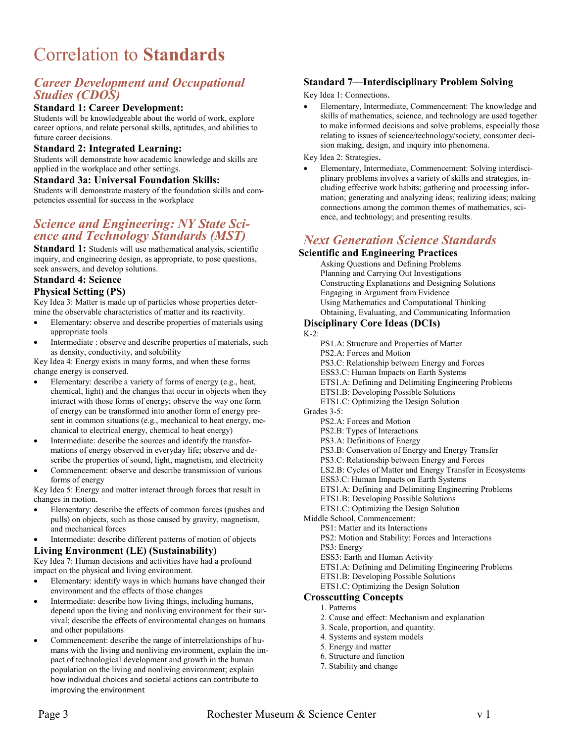# Correlation to **Standards**

## *Career Development and Occupational Studies (CDOS)*

### **Standard 1: Career Development:**

Students will be knowledgeable about the world of work, explore career options, and relate personal skills, aptitudes, and abilities to future career decisions.

#### **Standard 2: Integrated Learning:**

Students will demonstrate how academic knowledge and skills are applied in the workplace and other settings.

#### **Standard 3a: Universal Foundation Skills:**

Students will demonstrate mastery of the foundation skills and competencies essential for success in the workplace

## *Science and Engineering: NY State Science and Technology Standards (MST)*

**Standard 1:** Students will use mathematical analysis, scientific inquiry, and engineering design, as appropriate, to pose questions, seek answers, and develop solutions.

#### **Standard 4: Science**

#### **Physical Setting (PS)**

Key Idea 3: Matter is made up of particles whose properties determine the observable characteristics of matter and its reactivity.

- Elementary: observe and describe properties of materials using appropriate tools
- Intermediate : observe and describe properties of materials, such as density, conductivity, and solubility

Key Idea 4: Energy exists in many forms, and when these forms change energy is conserved.

- Elementary: describe a variety of forms of energy (e.g., heat, chemical, light) and the changes that occur in objects when they interact with those forms of energy; observe the way one form of energy can be transformed into another form of energy present in common situations (e.g., mechanical to heat energy, mechanical to electrical energy, chemical to heat energy)
- Intermediate: describe the sources and identify the transformations of energy observed in everyday life; observe and describe the properties of sound, light, magnetism, and electricity
- Commencement: observe and describe transmission of various forms of energy

Key Idea 5: Energy and matter interact through forces that result in changes in motion.

- Elementary: describe the effects of common forces (pushes and pulls) on objects, such as those caused by gravity, magnetism, and mechanical forces
- Intermediate: describe different patterns of motion of objects

## **Living Environment (LE) (Sustainability)**

Key Idea 7: Human decisions and activities have had a profound impact on the physical and living environment.

- Elementary: identify ways in which humans have changed their environment and the effects of those changes
- Intermediate: describe how living things, including humans, depend upon the living and nonliving environment for their survival; describe the effects of environmental changes on humans and other populations
- Commencement: describe the range of interrelationships of humans with the living and nonliving environment, explain the impact of technological development and growth in the human population on the living and nonliving environment; explain how individual choices and societal actions can contribute to improving the environment

## **Standard 7—Interdisciplinary Problem Solving**

Key Idea 1: Connections.

• Elementary, Intermediate, Commencement: The knowledge and skills of mathematics, science, and technology are used together to make informed decisions and solve problems, especially those relating to issues of science/technology/society, consumer decision making, design, and inquiry into phenomena.

Key Idea 2: Strategies.

• Elementary, Intermediate, Commencement: Solving interdisciplinary problems involves a variety of skills and strategies, including effective work habits; gathering and processing information; generating and analyzing ideas; realizing ideas; making connections among the common themes of mathematics, science, and technology; and presenting results.

## *Next Generation Science Standards*

#### **Scientific and Engineering Practices**

Asking Questions and Defining Problems Planning and Carrying Out Investigations Constructing Explanations and Designing Solutions Engaging in Argument from Evidence Using Mathematics and Computational Thinking Obtaining, Evaluating, and Communicating Information

#### **Disciplinary Core Ideas (DCIs)**

#### $K-2$ :

PS1.A: Structure and Properties of Matter

- PS2.A: Forces and Motion
- PS3.C: Relationship between Energy and Forces
- ESS3.C: Human Impacts on Earth Systems
- ETS1.A: Defining and Delimiting Engineering Problems
- ETS1.B: Developing Possible Solutions
- ETS1.C: Optimizing the Design Solution

Grades 3-5:

- PS2.A: Forces and Motion
- PS2.B: Types of Interactions
- PS3.A: Definitions of Energy
- PS3.B: Conservation of Energy and Energy Transfer
- PS3.C: Relationship between Energy and Forces
- LS2.B: Cycles of Matter and Energy Transfer in Ecosystems
- ESS3.C: Human Impacts on Earth Systems
- ETS1.A: Defining and Delimiting Engineering Problems
- ETS1.B: Developing Possible Solutions
- ETS1.C: Optimizing the Design Solution

Middle School, Commencement:

- PS1: Matter and its Interactions
- PS2: Motion and Stability: Forces and Interactions
- PS3: Energy
- ESS3: Earth and Human Activity
- ETS1.A: Defining and Delimiting Engineering Problems
- ETS1.B: Developing Possible Solutions
- ETS1.C: Optimizing the Design Solution

#### **Crosscutting Concepts**

- 1. Patterns
- 2. Cause and effect: Mechanism and explanation
- 3. Scale, proportion, and quantity.
- 4. Systems and system models
- 5. Energy and matter
- 6. Structure and function
- 7. Stability and change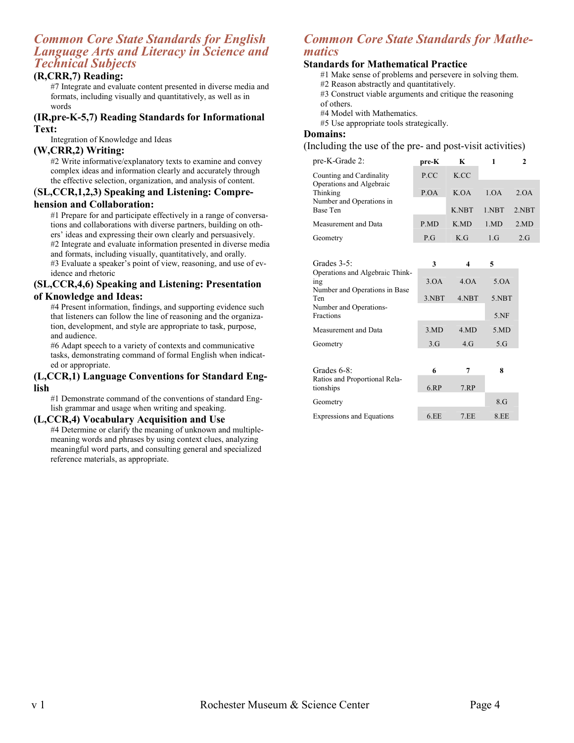### *Common Core State Standards for English Language Arts and Literacy in Science and Technical Subjects*

#### **(R,CRR,7) Reading:**

#7 Integrate and evaluate content presented in diverse media and formats, including visually and quantitatively, as well as in words

#### **(IR,pre-K-5,7) Reading Standards for Informational Text:**

Integration of Knowledge and Ideas

#### **(W,CRR,2) Writing:**

#2 Write informative/explanatory texts to examine and convey complex ideas and information clearly and accurately through the effective selection, organization, and analysis of content.

## (**SL,CCR,1,2,3) Speaking and Listening: Compre-**

#### **hension and Collaboration:**

#1 Prepare for and participate effectively in a range of conversations and collaborations with diverse partners, building on others' ideas and expressing their own clearly and persuasively.

#2 Integrate and evaluate information presented in diverse media and formats, including visually, quantitatively, and orally.

#3 Evaluate a speaker's point of view, reasoning, and use of evidence and rhetoric

#### **(SL,CCR,4,6) Speaking and Listening: Presentation of Knowledge and Ideas:**

#4 Present information, findings, and supporting evidence such that listeners can follow the line of reasoning and the organization, development, and style are appropriate to task, purpose, and audience.

#6 Adapt speech to a variety of contexts and communicative tasks, demonstrating command of formal English when indicated or appropriate.

#### **(L,CCR,1) Language Conventions for Standard English**

#1 Demonstrate command of the conventions of standard English grammar and usage when writing and speaking.

#### **(L,CCR,4) Vocabulary Acquisition and Use**

#4 Determine or clarify the meaning of unknown and multiplemeaning words and phrases by using context clues, analyzing meaningful word parts, and consulting general and specialized reference materials, as appropriate.

## *Common Core State Standards for Mathematics*

#### **Standards for Mathematical Practice**

#1 Make sense of problems and persevere in solving them.

- #2 Reason abstractly and quantitatively.
- #3 Construct viable arguments and critique the reasoning of others.

#4 Model with Mathematics.

#5 Use appropriate tools strategically.

#### **Domains:**

(Including the use of the pre- and post-visit activities)

| pre-K-Grade 2:                              | pre-K | K            |       |       |
|---------------------------------------------|-------|--------------|-------|-------|
| Counting and Cardinality                    | P.CC  | K CC         |       |       |
| Operations and Algebraic<br>Thinking        | P.OA  | K OA         | 1.0A  | 2. QA |
| Number and Operations in<br><b>Base Ten</b> |       | K NBT        | 1 NBT | 2 NBT |
| Measurement and Data                        | P.MD  | K MD         | 1 MD  | 2MD   |
| Geometry                                    | P.G   | $K_{\cdot}G$ | 1.G   | 2G    |

| Grades $3-5$ :                  | 3     |       | 5     |
|---------------------------------|-------|-------|-------|
| Operations and Algebraic Think- |       |       |       |
| ing                             | 3.0A  | 4.0A  | 5.OA  |
| Number and Operations in Base   |       |       |       |
| Ten                             | 3.NBT | 4.NBT | 5.NBT |
| Number and Operations-          |       |       |       |
| <b>Fractions</b>                |       |       | 5.NF  |
| Measurement and Data            | 3MD   | 4.MD  | 5MD   |
| Geometry                        | 3.G   | 4. G  | 5.G   |
|                                 |       |       |       |
| Grades $6-8$ :                  | 6     |       | 8     |
| Dotice and Droportional Dolo    |       |       |       |

| Ratios and Proportional Rela-    |      |      |        |
|----------------------------------|------|------|--------|
| tionships                        | 6.RP | 7.RP |        |
| Geometry                         |      |      | $8.$ G |
| <b>Expressions and Equations</b> | 6.EE | 7 EE | 8.EE   |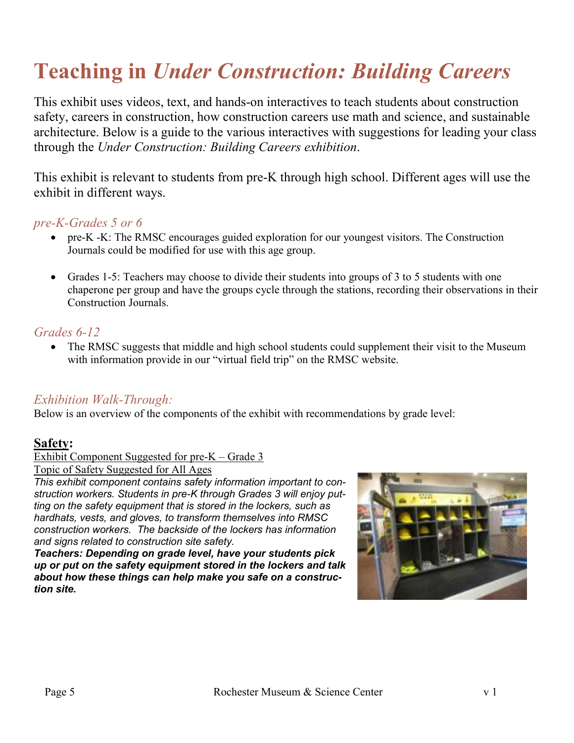# **Teaching in** *Under Construction: Building Careers*

This exhibit uses videos, text, and hands-on interactives to teach students about construction safety, careers in construction, how construction careers use math and science, and sustainable architecture. Below is a guide to the various interactives with suggestions for leading your class through the *Under Construction: Building Careers exhibition*.

This exhibit is relevant to students from pre-K through high school. Different ages will use the exhibit in different ways.

## *pre-K-Grades 5 or 6*

- pre-K -K: The RMSC encourages guided exploration for our youngest visitors. The Construction Journals could be modified for use with this age group.
- Grades 1-5: Teachers may choose to divide their students into groups of 3 to 5 students with one chaperone per group and have the groups cycle through the stations, recording their observations in their Construction Journals.

## *Grades 6-12*

• The RMSC suggests that middle and high school students could supplement their visit to the Museum with information provide in our "virtual field trip" on the RMSC website.

## *Exhibition Walk-Through:*

Below is an overview of the components of the exhibit with recommendations by grade level:

## **Safety:**

Exhibit Component Suggested for pre-K – Grade 3

Topic of Safety Suggested for All Ages

*This exhibit component contains safety information important to construction workers. Students in pre-K through Grades 3 will enjoy putting on the safety equipment that is stored in the lockers, such as hardhats, vests, and gloves, to transform themselves into RMSC construction workers. The backside of the lockers has information and signs related to construction site safety.* 

*Teachers: Depending on grade level, have your students pick up or put on the safety equipment stored in the lockers and talk about how these things can help make you safe on a construction site.* 

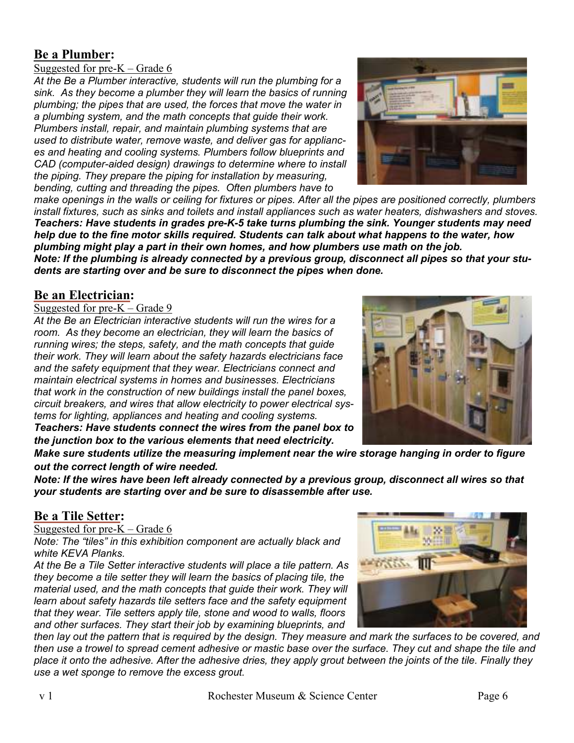## **Be a Plumber:**

## Suggested for pre-K – Grade 6

*At the Be a Plumber interactive, students will run the plumbing for a sink. As they become a plumber they will learn the basics of running plumbing; the pipes that are used, the forces that move the water in a plumbing system, and the math concepts that guide their work. Plumbers install, repair, and maintain plumbing systems that are used to distribute water, remove waste, and deliver gas for appliances and heating and cooling systems. Plumbers follow blueprints and CAD (computer-aided design) drawings to determine where to install the piping. They prepare the piping for installation by measuring, bending, cutting and threading the pipes. Often plumbers have to* 



*make openings in the walls or ceiling for fixtures or pipes. After all the pipes are positioned correctly, plumbers install fixtures, such as sinks and toilets and install appliances such as water heaters, dishwashers and stoves. Teachers: Have students in grades pre-K-5 take turns plumbing the sink. Younger students may need help due to the fine motor skills required. Students can talk about what happens to the water, how plumbing might play a part in their own homes, and how plumbers use math on the job. Note: If the plumbing is already connected by a previous group, disconnect all pipes so that your stu-*

*dents are starting over and be sure to disconnect the pipes when done.*

## **Be an Electrician:**

#### Suggested for pre-K – Grade 9

*At the Be an Electrician interactive students will run the wires for a room. As they become an electrician, they will learn the basics of running wires; the steps, safety, and the math concepts that guide their work. They will learn about the safety hazards electricians face and the safety equipment that they wear. Electricians connect and maintain electrical systems in homes and businesses. Electricians that work in the construction of new buildings install the panel boxes, circuit breakers, and wires that allow electricity to power electrical systems for lighting, appliances and heating and cooling systems. Teachers: Have students connect the wires from the panel box to* 

*the junction box to the various elements that need electricity.* 



*Make sure students utilize the measuring implement near the wire storage hanging in order to figure out the correct length of wire needed.* 

*Note: If the wires have been left already connected by a previous group, disconnect all wires so that your students are starting over and be sure to disassemble after use.* 

## **Be a Tile Setter:**

## Suggested for pre-K – Grade 6

*Note: The "tiles" in this exhibition component are actually black and white KEVA Planks.* 

*At the Be a Tile Setter interactive students will place a tile pattern. As they become a tile setter they will learn the basics of placing tile, the material used, and the math concepts that guide their work. They will learn about safety hazards tile setters face and the safety equipment that they wear. Tile setters apply tile, stone and wood to walls, floors and other surfaces. They start their job by examining blueprints, and* 

*then lay out the pattern that is required by the design. They measure and mark the surfaces to be covered, and then use a trowel to spread cement adhesive or mastic base over the surface. They cut and shape the tile and place it onto the adhesive. After the adhesive dries, they apply grout between the joints of the tile. Finally they use a wet sponge to remove the excess grout.* 

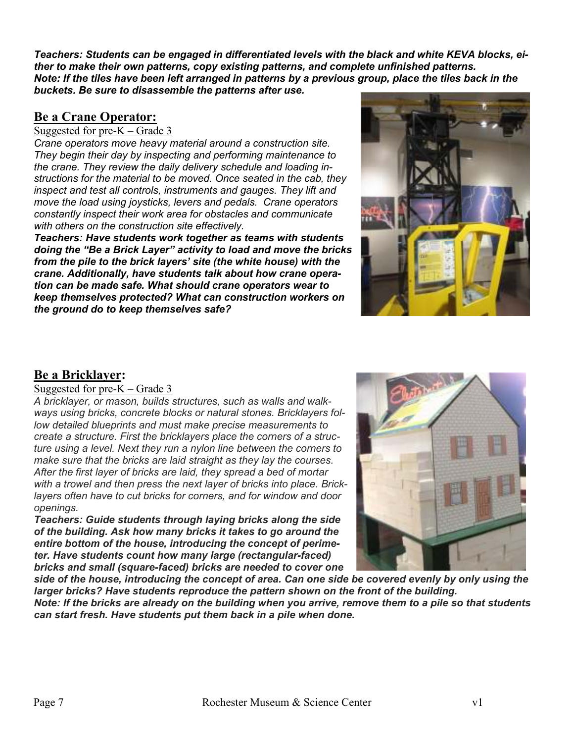*Teachers: Students can be engaged in differentiated levels with the black and white KEVA blocks, either to make their own patterns, copy existing patterns, and complete unfinished patterns. Note: If the tiles have been left arranged in patterns by a previous group, place the tiles back in the buckets. Be sure to disassemble the patterns after use.* 

## **Be a Crane Operator:**

### Suggested for  $pre-K - Grade 3$

*Crane operators move heavy material around a construction site. They begin their day by inspecting and performing maintenance to the crane. They review the daily delivery schedule and loading instructions for the material to be moved. Once seated in the cab, they inspect and test all controls, instruments and gauges. They lift and move the load using joysticks, levers and pedals. Crane operators constantly inspect their work area for obstacles and communicate with others on the construction site effectively.* 

*Teachers: Have students work together as teams with students doing the "Be a Brick Layer" activity to load and move the bricks from the pile to the brick layers' site (the white house) with the crane. Additionally, have students talk about how crane operation can be made safe. What should crane operators wear to keep themselves protected? What can construction workers on the ground do to keep themselves safe?* 



## **Be a Bricklayer:**

#### Suggested for pre-K – Grade 3

*A bricklayer, or mason, builds structures, such as walls and walkways using bricks, concrete blocks or natural stones. Bricklayers follow detailed blueprints and must make precise measurements to create a structure. First the bricklayers place the corners of a structure using a level. Next they run a nylon line between the corners to make sure that the bricks are laid straight as they lay the courses. After the first layer of bricks are laid, they spread a bed of mortar with a trowel and then press the next layer of bricks into place. Bricklayers often have to cut bricks for corners, and for window and door openings.* 

*Teachers: Guide students through laying bricks along the side of the building. Ask how many bricks it takes to go around the entire bottom of the house, introducing the concept of perimeter. Have students count how many large (rectangular-faced) bricks and small (square-faced) bricks are needed to cover one* 



*side of the house, introducing the concept of area. Can one side be covered evenly by only using the larger bricks? Have students reproduce the pattern shown on the front of the building. Note: If the bricks are already on the building when you arrive, remove them to a pile so that students can start fresh. Have students put them back in a pile when done.*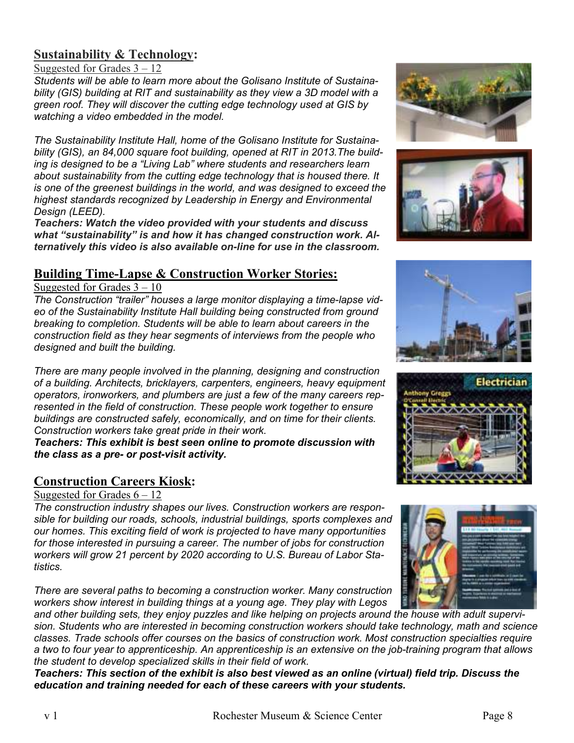## **Sustainability & Technology:**

Suggested for Grades 3 – 12

*Students will be able to learn more about the Golisano Institute of Sustainability (GIS) building at RIT and sustainability as they view a 3D model with a green roof. They will discover the cutting edge technology used at GIS by watching a video embedded in the model.* 

*The Sustainability Institute Hall, home of the Golisano Institute for Sustainability (GIS), an 84,000 square foot building, opened at RIT in 2013.The building is designed to be a "Living Lab" where students and researchers learn about sustainability from the cutting edge technology that is housed there. It is one of the greenest buildings in the world, and was designed to exceed the highest standards recognized by Leadership in Energy and Environmental Design (LEED).* 

*Teachers: Watch the video provided with your students and discuss what "sustainability" is and how it has changed construction work. Alternatively this video is also available on-line for use in the classroom.* 

## **Building Time-Lapse & Construction Worker Stories:**

Suggested for Grades 3 – 10

*The Construction "trailer" houses a large monitor displaying a time-lapse video of the Sustainability Institute Hall building being constructed from ground breaking to completion. Students will be able to learn about careers in the construction field as they hear segments of interviews from the people who designed and built the building.* 

*There are many people involved in the planning, designing and construction of a building. Architects, bricklayers, carpenters, engineers, heavy equipment operators, ironworkers, and plumbers are just a few of the many careers represented in the field of construction. These people work together to ensure buildings are constructed safely, economically, and on time for their clients. Construction workers take great pride in their work.* 

*Teachers: This exhibit is best seen online to promote discussion with the class as a pre- or post-visit activity.* 

## **Construction Careers Kiosk:**

## Suggested for Grades  $6 - 12$

*The construction industry shapes our lives. Construction workers are responsible for building our roads, schools, industrial buildings, sports complexes and our homes. This exciting field of work is projected to have many opportunities for those interested in pursuing a career. The number of jobs for construction workers will grow 21 percent by 2020 according to U.S. Bureau of Labor Statistics.* 

*There are several paths to becoming a construction worker. Many construction workers show interest in building things at a young age. They play with Legos* 

*and other building sets, they enjoy puzzles and like helping on projects around the house with adult supervision. Students who are interested in becoming construction workers should take technology, math and science classes. Trade schools offer courses on the basics of construction work. Most construction specialties require a two to four year to apprenticeship. An apprenticeship is an extensive on the job-training program that allows the student to develop specialized skills in their field of work.* 

*Teachers: This section of the exhibit is also best viewed as an online (virtual) field trip. Discuss the education and training needed for each of these careers with your students.* 









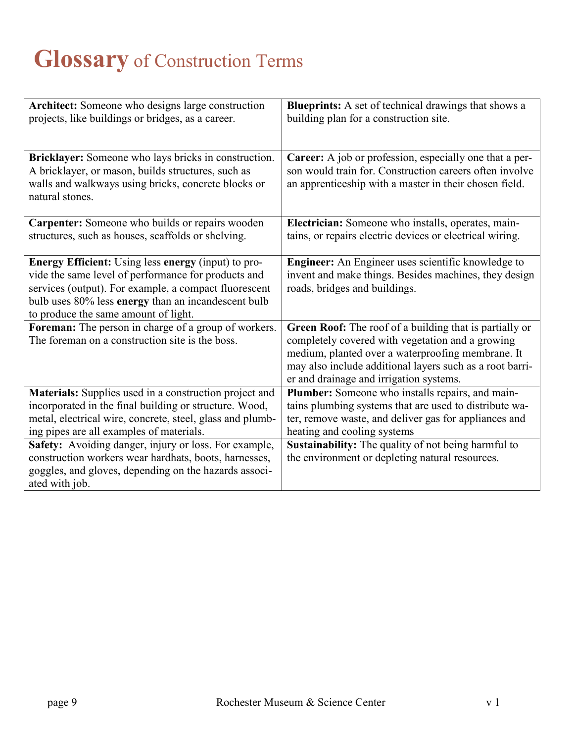# **Glossary** of Construction Terms

| Architect: Someone who designs large construction<br>projects, like buildings or bridges, as a career.         | <b>Blueprints:</b> A set of technical drawings that shows a<br>building plan for a construction site. |
|----------------------------------------------------------------------------------------------------------------|-------------------------------------------------------------------------------------------------------|
|                                                                                                                |                                                                                                       |
| Bricklayer: Someone who lays bricks in construction.                                                           | Career: A job or profession, especially one that a per-                                               |
| A bricklayer, or mason, builds structures, such as                                                             | son would train for. Construction careers often involve                                               |
| walls and walkways using bricks, concrete blocks or<br>natural stones.                                         | an apprenticeship with a master in their chosen field.                                                |
|                                                                                                                |                                                                                                       |
| Carpenter: Someone who builds or repairs wooden                                                                | Electrician: Someone who installs, operates, main-                                                    |
| structures, such as houses, scaffolds or shelving.                                                             | tains, or repairs electric devices or electrical wiring.                                              |
|                                                                                                                |                                                                                                       |
| <b>Energy Efficient:</b> Using less energy (input) to pro-                                                     | <b>Engineer:</b> An Engineer uses scientific knowledge to                                             |
| vide the same level of performance for products and                                                            | invent and make things. Besides machines, they design                                                 |
| services (output). For example, a compact fluorescent                                                          | roads, bridges and buildings.                                                                         |
| bulb uses 80% less energy than an incandescent bulb<br>to produce the same amount of light.                    |                                                                                                       |
| Foreman: The person in charge of a group of workers.                                                           | Green Roof: The roof of a building that is partially or                                               |
| The foreman on a construction site is the boss.                                                                | completely covered with vegetation and a growing                                                      |
|                                                                                                                | medium, planted over a waterproofing membrane. It                                                     |
|                                                                                                                | may also include additional layers such as a root barri-                                              |
|                                                                                                                | er and drainage and irrigation systems.                                                               |
| Materials: Supplies used in a construction project and                                                         | Plumber: Someone who installs repairs, and main-                                                      |
| incorporated in the final building or structure. Wood,                                                         | tains plumbing systems that are used to distribute wa-                                                |
| metal, electrical wire, concrete, steel, glass and plumb-                                                      | ter, remove waste, and deliver gas for appliances and                                                 |
| ing pipes are all examples of materials.                                                                       | heating and cooling systems                                                                           |
| Safety: Avoiding danger, injury or loss. For example,                                                          | Sustainability: The quality of not being harmful to                                                   |
| construction workers wear hardhats, boots, harnesses,<br>goggles, and gloves, depending on the hazards associ- | the environment or depleting natural resources.                                                       |
| ated with job.                                                                                                 |                                                                                                       |
|                                                                                                                |                                                                                                       |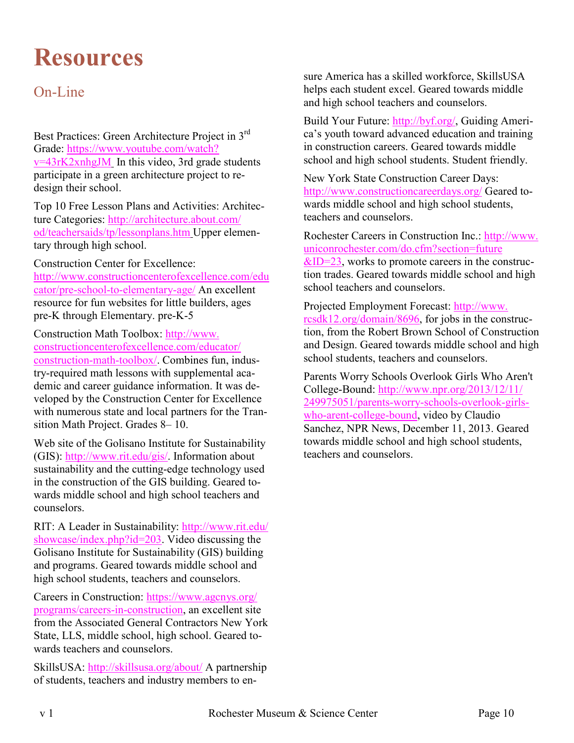# **Resources**

## On-Line

Best Practices: Green Architecture Project in 3rd Grade: https://www.youtube.com/watch? v=43rK2xnhgJM In this video, 3rd grade students participate in a green architecture project to redesign their school.

Top 10 Free Lesson Plans and Activities: Architecture Categories: http://architecture.about.com/ od/teachersaids/tp/lessonplans.htm Upper elementary through high school.

Construction Center for Excellence: http://www.constructioncenterofexcellence.com/edu cator/pre-school-to-elementary-age/ An excellent resource for fun websites for little builders, ages pre-K through Elementary. pre-K-5

Construction Math Toolbox: http://www. constructioncenterofexcellence.com/educator/ construction-math-toolbox/. Combines fun, industry-required math lessons with supplemental academic and career guidance information. It was developed by the Construction Center for Excellence with numerous state and local partners for the Transition Math Project. Grades 8– 10.

Web site of the Golisano Institute for Sustainability (GIS): http://www.rit.edu/gis/. Information about sustainability and the cutting-edge technology used in the construction of the GIS building. Geared towards middle school and high school teachers and counselors.

RIT: A Leader in Sustainability: http://www.rit.edu/ showcase/index.php?id=203. Video discussing the Golisano Institute for Sustainability (GIS) building and programs. Geared towards middle school and high school students, teachers and counselors.

Careers in Construction: https://www.agcnys.org/ programs/careers-in-construction, an excellent site from the Associated General Contractors New York State, LLS, middle school, high school. Geared towards teachers and counselors.

SkillsUSA: http://skillsusa.org/about/ A partnership of students, teachers and industry members to en-

sure America has a skilled workforce, SkillsUSA helps each student excel. Geared towards middle and high school teachers and counselors.

Build Your Future: http://byf.org/, Guiding America's youth toward advanced education and training in construction careers. Geared towards middle school and high school students. Student friendly.

New York State Construction Career Days: http://www.constructioncareerdays.org/ Geared towards middle school and high school students, teachers and counselors.

Rochester Careers in Construction Inc.: http://www. uniconrochester.com/do.cfm?section=future  $&ID=23$ , works to promote careers in the construction trades. Geared towards middle school and high

school teachers and counselors.

Projected Employment Forecast: http://www. rcsdk12.org/domain/8696, for jobs in the construction, from the Robert Brown School of Construction and Design. Geared towards middle school and high school students, teachers and counselors.

Parents Worry Schools Overlook Girls Who Aren't College-Bound: http://www.npr.org/2013/12/11/ 249975051/parents-worry-schools-overlook-girlswho-arent-college-bound, video by Claudio Sanchez, NPR News, December 11, 2013. Geared towards middle school and high school students, teachers and counselors.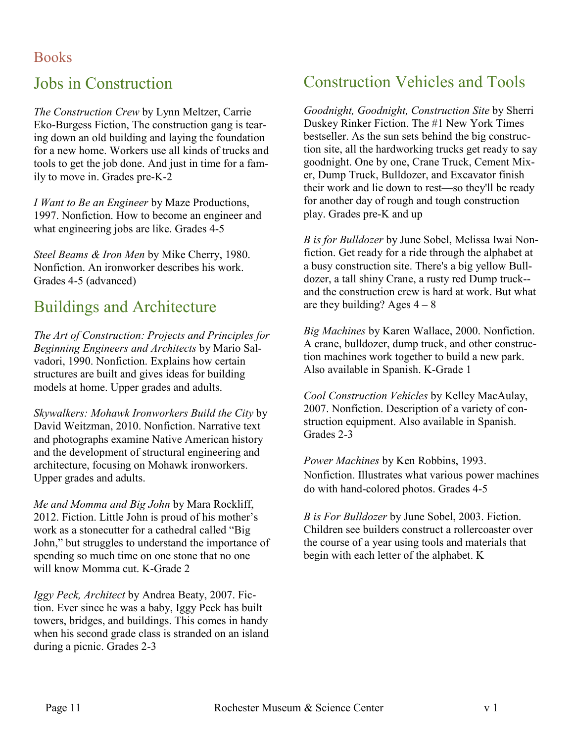## Jobs in Construction

*The Construction Crew* by Lynn Meltzer, Carrie Eko-Burgess Fiction, The construction gang is tearing down an old building and laying the foundation for a new home. Workers use all kinds of trucks and tools to get the job done. And just in time for a family to move in. Grades pre-K-2

*I Want to Be an Engineer* by Maze Productions, 1997. Nonfiction. How to become an engineer and what engineering jobs are like. Grades 4-5

*Steel Beams & Iron Men* by Mike Cherry, 1980. Nonfiction. An ironworker describes his work. Grades 4-5 (advanced)

## Buildings and Architecture

*The Art of Construction: Projects and Principles for Beginning Engineers and Architects* by Mario Salvadori, 1990. Nonfiction. Explains how certain structures are built and gives ideas for building models at home. Upper grades and adults.

*Skywalkers: Mohawk Ironworkers Build the City* by David Weitzman, 2010. Nonfiction. Narrative text and photographs examine Native American history and the development of structural engineering and architecture, focusing on Mohawk ironworkers. Upper grades and adults.

*Me and Momma and Big John* by Mara Rockliff, 2012. Fiction. Little John is proud of his mother's work as a stonecutter for a cathedral called "Big John," but struggles to understand the importance of spending so much time on one stone that no one will know Momma cut. K-Grade 2

*Iggy Peck, Architect* by Andrea Beaty, 2007. Fiction. Ever since he was a baby, Iggy Peck has built towers, bridges, and buildings. This comes in handy when his second grade class is stranded on an island during a picnic. Grades 2-3

## Construction Vehicles and Tools

*Goodnight, Goodnight, Construction Site* by Sherri Duskey Rinker Fiction. The #1 New York Times bestseller. As the sun sets behind the big construction site, all the hardworking trucks get ready to say goodnight. One by one, Crane Truck, Cement Mixer, Dump Truck, Bulldozer, and Excavator finish their work and lie down to rest—so they'll be ready for another day of rough and tough construction play. Grades pre-K and up

*B is for Bulldozer* by June Sobel, Melissa Iwai Nonfiction. Get ready for a ride through the alphabet at a busy construction site. There's a big yellow Bulldozer, a tall shiny Crane, a rusty red Dump truck- and the construction crew is hard at work. But what are they building? Ages  $4 - 8$ 

*Big Machines* by Karen Wallace, 2000. Nonfiction. A crane, bulldozer, dump truck, and other construction machines work together to build a new park. Also available in Spanish. K-Grade 1

*Cool Construction Vehicles* by Kelley MacAulay, 2007. Nonfiction. Description of a variety of construction equipment. Also available in Spanish. Grades 2-3

*Power Machines* by Ken Robbins, 1993. Nonfiction. Illustrates what various power machines do with hand-colored photos. Grades 4-5

*B is For Bulldozer* by June Sobel, 2003. Fiction. Children see builders construct a rollercoaster over the course of a year using tools and materials that begin with each letter of the alphabet. K